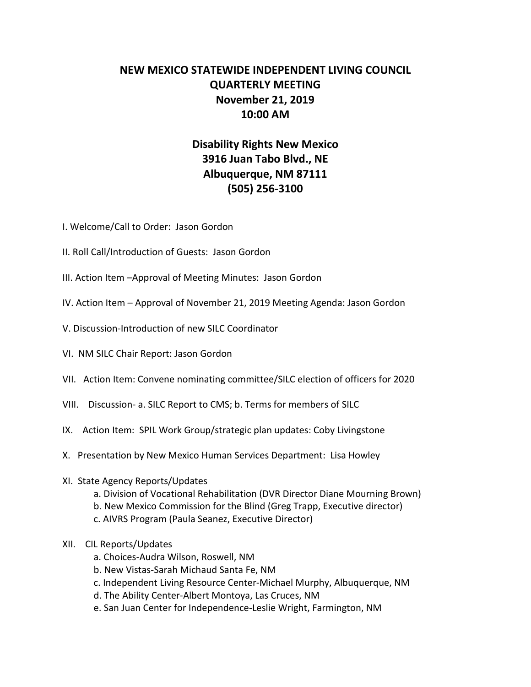## **NEW MEXICO STATEWIDE INDEPENDENT LIVING COUNCIL QUARTERLY MEETING November 21, 2019 10:00 AM**

## **Disability Rights New Mexico 3916 Juan Tabo Blvd., NE Albuquerque, NM 87111 (505) 256-3100**

- I. Welcome/Call to Order: Jason Gordon
- II. Roll Call/Introduction of Guests: Jason Gordon
- III. Action Item –Approval of Meeting Minutes: Jason Gordon
- IV. Action Item Approval of November 21, 2019 Meeting Agenda: Jason Gordon
- V. Discussion-Introduction of new SILC Coordinator
- VI. NM SILC Chair Report: Jason Gordon
- VII. Action Item: Convene nominating committee/SILC election of officers for 2020
- VIII. Discussion- a. SILC Report to CMS; b. Terms for members of SILC
- IX. Action Item: SPIL Work Group/strategic plan updates: Coby Livingstone
- X. Presentation by New Mexico Human Services Department: Lisa Howley
- XI. State Agency Reports/Updates
	- a. Division of Vocational Rehabilitation (DVR Director Diane Mourning Brown)
	- b. New Mexico Commission for the Blind (Greg Trapp, Executive director)
	- c. AIVRS Program (Paula Seanez, Executive Director)
- XII. CIL Reports/Updates
	- a. Choices-Audra Wilson, Roswell, NM
	- b. New Vistas-Sarah Michaud Santa Fe, NM
	- c. Independent Living Resource Center-Michael Murphy, Albuquerque, NM
	- d. The Ability Center-Albert Montoya, Las Cruces, NM
	- e. San Juan Center for Independence-Leslie Wright, Farmington, NM